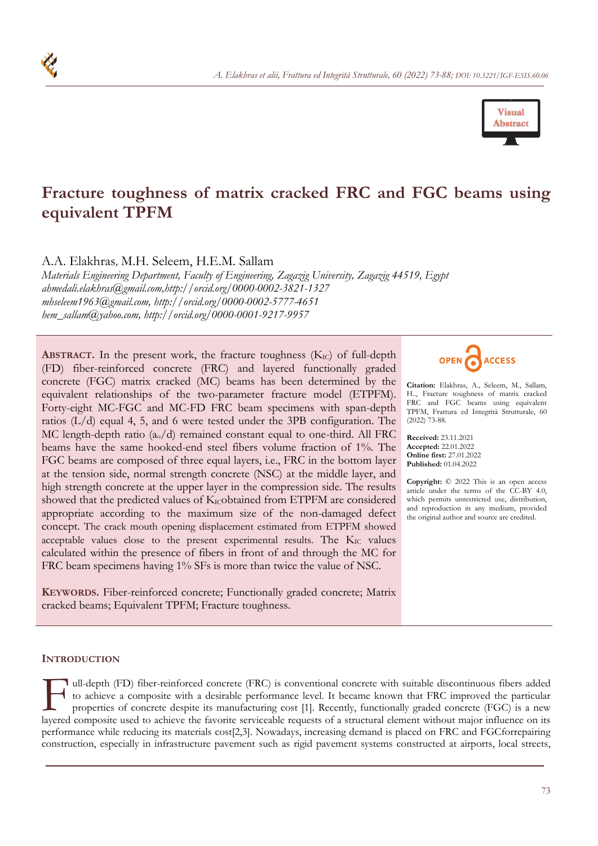

# **Fracture toughness of matrix cracked FRC and FGC beams using equivalent TPFM**

A.A. Elakhras*,* M.H. Seleem, H.E.M. Sallam

*Materials Engineering Department, Faculty of Engineering, Zagazig University, Zagazig 44519, Egypt ahmedali.elakhras@gmail.com,http://orcid.org/0000-0002-3821-1327 mhseleem1963@gmail.com, http://orcid.org/0000-0002-5777-4651 hem\_sallam@yahoo.com, http://orcid.org/0000-0001-9217-9957* 

**ABSTRACT.** In the present work, the fracture toughness  $(K_{IC})$  of full-depth (FD) fiber-reinforced concrete (FRC) and layered functionally graded concrete (FGC) matrix cracked (MC) beams has been determined by the equivalent relationships of the two-parameter fracture model (ETPFM). Forty-eight MC-FGC and MC-FD FRC beam specimens with span-depth ratios (L/d) equal 4, 5, and 6 were tested under the 3PB configuration. The MC length-depth ratio  $(a_0/d)$  remained constant equal to one-third. All FRC beams have the same hooked-end steel fibers volume fraction of 1%. The FGC beams are composed of three equal layers, i.e., FRC in the bottom layer at the tension side, normal strength concrete (NSC) at the middle layer, and high strength concrete at the upper layer in the compression side. The results showed that the predicted values of  $K_{IC}$ obtained from ETPFM are considered appropriate according to the maximum size of the non-damaged defect concept. The crack mouth opening displacement estimated from ETPFM showed acceptable values close to the present experimental results. The  $K_{\text{IC}}$  values calculated within the presence of fibers in front of and through the MC for FRC beam specimens having 1% SFs is more than twice the value of NSC.

**KEYWORDS.** Fiber-reinforced concrete; Functionally graded concrete; Matrix cracked beams; Equivalent TPFM; Fracture toughness.



**Citation:** Elakhras, A., Seleem, M., Sallam, H.., Fracture toughness of matrix cracked FRC and FGC beams using equivalent TPFM, Frattura ed Integrità Strutturale, 60 (2022) 73-88.

**Received:** 23.11.2021 **Accepted:** 22.01.2022 **Online first:** 27.01.2022 **Published:** 01.04.2022

**Copyright:** © 2022 This is an open access article under the terms of the CC-BY 4.0, which permits unrestricted use, distribution, and reproduction in any medium, provided the original author and source are credited.

#### **INTRODUCTION**

ull-depth (FD) fiber-reinforced concrete (FRC) is conventional concrete with suitable discontinuous fibers added to achieve a composite with a desirable performance level. It became known that FRC improved the particular properties of concrete despite its manufacturing cost [1]. Recently, functionally graded concrete (FGC) is a new I ull-depth (FD) fiber-reinforced concrete (FRC) is conventional concrete with suitable discontinuous fibers added<br>to achieve a composite with a desirable performance level. It became known that FRC improved the particular performance while reducing its materials cost[2,3]. Nowadays, increasing demand is placed on FRC and FGCforrepairing construction, especially in infrastructure pavement such as rigid pavement systems constructed at airports, local streets,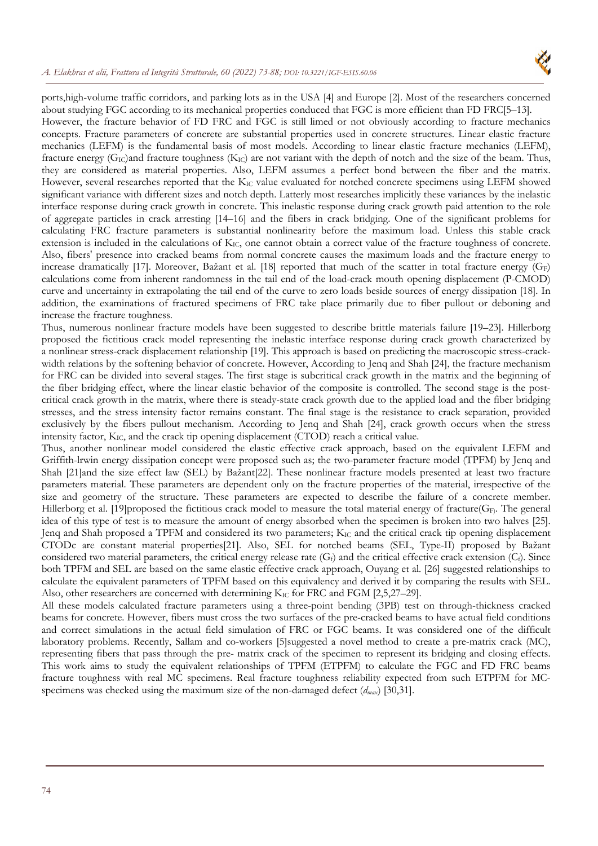#### *A. Elakhras et alii, Frattura ed Integrità Strutturale, 60 (2022) 73-88; DOI: 10.3221/IGF-ESIS.60.06*



ports,high-volume traffic corridors, and parking lots as in the USA [4] and Europe [2]. Most of the researchers concerned about studying FGC according to its mechanical properties conduced that FGC is more efficient than FD FRC[5–13]. However, the fracture behavior of FD FRC and FGC is still limed or not obviously according to fracture mechanics concepts. Fracture parameters of concrete are substantial properties used in concrete structures. Linear elastic fracture mechanics (LEFM) is the fundamental basis of most models. According to linear elastic fracture mechanics (LEFM), fracture energy ( $G_{IC}$ )and fracture toughness ( $K_{IC}$ ) are not variant with the depth of notch and the size of the beam. Thus, they are considered as material properties. Also, LEFM assumes a perfect bond between the fiber and the matrix. However, several researches reported that the  $K_{IC}$  value evaluated for notched concrete specimens using LEFM showed significant variance with different sizes and notch depth. Latterly most researches implicitly these variances by the inelastic interface response during crack growth in concrete. This inelastic response during crack growth paid attention to the role of aggregate particles in crack arresting [14–16] and the fibers in crack bridging. One of the significant problems for calculating FRC fracture parameters is substantial nonlinearity before the maximum load. Unless this stable crack extension is included in the calculations of  $K_{IC}$ , one cannot obtain a correct value of the fracture toughness of concrete. Also, fibers' presence into cracked beams from normal concrete causes the maximum loads and the fracture energy to increase dramatically [17]. Moreover, Bažant et al. [18] reported that much of the scatter in total fracture energy  $(G_F)$ calculations come from inherent randomness in the tail end of the load-crack mouth opening displacement (P-CMOD) curve and uncertainty in extrapolating the tail end of the curve to zero loads beside sources of energy dissipation [18]. In addition, the examinations of fractured specimens of FRC take place primarily due to fiber pullout or deboning and increase the fracture toughness.

Thus, numerous nonlinear fracture models have been suggested to describe brittle materials failure [19–23]. Hillerborg proposed the fictitious crack model representing the inelastic interface response during crack growth characterized by a nonlinear stress-crack displacement relationship [19]. This approach is based on predicting the macroscopic stress-crackwidth relations by the softening behavior of concrete. However, According to Jenq and Shah [24], the fracture mechanism for FRC can be divided into several stages. The first stage is subcritical crack growth in the matrix and the beginning of the fiber bridging effect, where the linear elastic behavior of the composite is controlled. The second stage is the postcritical crack growth in the matrix, where there is steady-state crack growth due to the applied load and the fiber bridging stresses, and the stress intensity factor remains constant. The final stage is the resistance to crack separation, provided exclusively by the fibers pullout mechanism. According to Jenq and Shah [24], crack growth occurs when the stress intensity factor,  $K_{IC}$ , and the crack tip opening displacement (CTOD) reach a critical value.

Thus, another nonlinear model considered the elastic effective crack approach, based on the equivalent LEFM and Griffith-lrwin energy dissipation concept were proposed such as; the two-parameter fracture model (TPFM) by Jenq and Shah [21]and the size effect law (SEL) by Bažant[22]. These nonlinear fracture models presented at least two fracture parameters material. These parameters are dependent only on the fracture properties of the material, irrespective of the size and geometry of the structure. These parameters are expected to describe the failure of a concrete member. Hillerborg et al. [19]proposed the fictitious crack model to measure the total material energy of fracture( $G_F$ ). The general idea of this type of test is to measure the amount of energy absorbed when the specimen is broken into two halves [25]. Jenq and Shah proposed a TPFM and considered its two parameters; KIC and the critical crack tip opening displacement CTODc are constant material properties[21]. Also, SEL for notched beams (SEL, Type-ΙΙ) proposed by Bažant considered two material parameters, the critical energy release rate  $(G_f)$  and the critical effective crack extension  $(C_f)$ . Since both TPFM and SEL are based on the same elastic effective crack approach, Ouyang et al. [26] suggested relationships to calculate the equivalent parameters of TPFM based on this equivalency and derived it by comparing the results with SEL. Also, other researchers are concerned with determining  $K_{IC}$  for FRC and FGM [2,5,27–29].

All these models calculated fracture parameters using a three-point bending (3PB) test on through-thickness cracked beams for concrete. However, fibers must cross the two surfaces of the pre-cracked beams to have actual field conditions and correct simulations in the actual field simulation of FRC or FGC beams. It was considered one of the difficult laboratory problems. Recently, Sallam and co-workers [5]suggested a novel method to create a pre-matrix crack (MC), representing fibers that pass through the pre- matrix crack of the specimen to represent its bridging and closing effects. This work aims to study the equivalent relationships of TPFM (ETPFM) to calculate the FGC and FD FRC beams fracture toughness with real MC specimens. Real fracture toughness reliability expected from such ETPFM for MCspecimens was checked using the maximum size of the non-damaged defect (*dmax*) [30,31].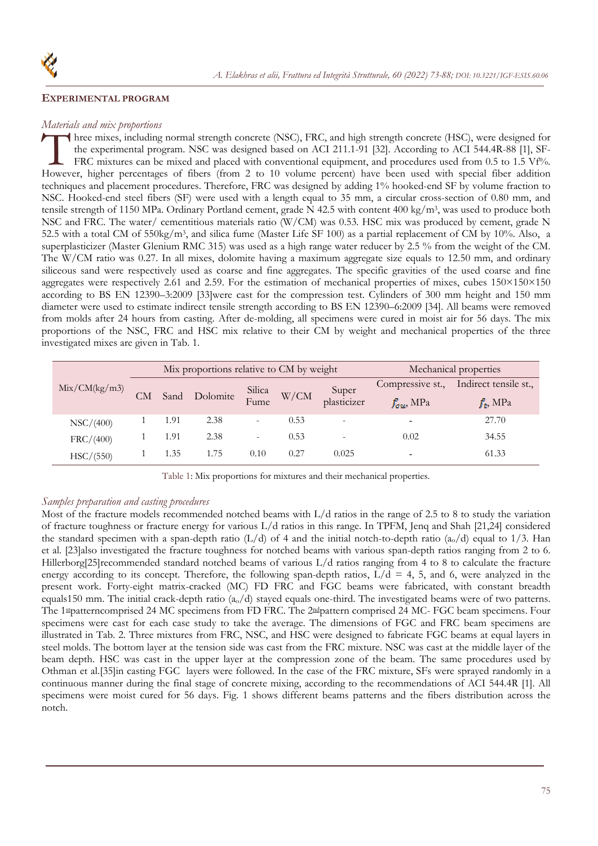

#### **EXPERIMENTAL PROGRAM**

## *Materials and mix proportions*

hree mixes, including normal strength concrete (NSC), FRC, and high strength concrete (HSC), were designed for the experimental program. NSC was designed based on ACI 211.1-91 [32]. According to ACI 544.4R-88 [1], SF-FRC mixtures can be mixed and placed with conventional equipment, and procedures used from 0.5 to 1.5 Vf%. Three mixes, including normal strength concrete (NSC), FRC, and high strength concrete (HSC), were designed for<br>the experimental program. NSC was designed based on ACI 211.1-91 [32]. According to ACI 544.4R-88 [1], SF-<br>FRC techniques and placement procedures. Therefore, FRC was designed by adding 1% hooked-end SF by volume fraction to NSC. Hooked-end steel fibers (SF) were used with a length equal to 35 mm, a circular cross-section of 0.80 mm, and tensile strength of 1150 MPa. Ordinary Portland cement, grade N 42.5 with content 400 kg/m3, was used to produce both NSC and FRC. The water/ cementitious materials ratio (W/CM) was 0.53. HSC mix was produced by cement, grade N 52.5 with a total CM of 550kg/m3, and silica fume (Master Life SF 100) as a partial replacement of CM by 10%. Also, a superplasticizer (Master Glenium RMC 315) was used as a high range water reducer by 2.5 % from the weight of the CM. The W/CM ratio was 0.27. In all mixes, dolomite having a maximum aggregate size equals to 12.50 mm, and ordinary siliceous sand were respectively used as coarse and fine aggregates. The specific gravities of the used coarse and fine aggregates were respectively 2.61 and 2.59. For the estimation of mechanical properties of mixes, cubes 150×150×150 according to BS EN 12390–3:2009 [33]were cast for the compression test. Cylinders of 300 mm height and 150 mm diameter were used to estimate indirect tensile strength according to BS EN 12390–6:2009 [34]. All beams were removed from molds after 24 hours from casting. After de-molding, all specimens were cured in moist air for 56 days. The mix proportions of the NSC, FRC and HSC mix relative to their CM by weight and mechanical properties of the three investigated mixes are given in Tab. 1.

| Mix/CM(kg/m3) | Mix proportions relative to CM by weight |      |          |                          |      |                          | Mechanical properties  |                       |  |
|---------------|------------------------------------------|------|----------|--------------------------|------|--------------------------|------------------------|-----------------------|--|
|               | <b>CM</b>                                | Sand | Dolomite | Silica<br>Fume           | W/CM | Super<br>plasticizer     | Compressive st.,       | Indirect tensile st., |  |
|               |                                          |      |          |                          |      |                          | $f_{\text{out}}$ , MPa | $f_t$ , MPa           |  |
| NSC/(400)     |                                          | 1.91 | 2.38     | $\overline{\phantom{a}}$ | 0.53 | $\overline{\phantom{a}}$ | ۰                      | 27.70                 |  |
| FRC/(400)     |                                          | 1.91 | 2.38     | $\overline{\phantom{a}}$ | 0.53 | $\overline{\phantom{a}}$ | 0.02                   | 34.55                 |  |
| HSC/(550)     |                                          | 1.35 | 1.75     | 0.10                     | 0.27 | 0.025                    | ۰                      | 61.33                 |  |

Table 1: Mix proportions for mixtures and their mechanical properties.

#### *Samples preparation and casting procedures*

Most of the fracture models recommended notched beams with L/d ratios in the range of 2.5 to 8 to study the variation of fracture toughness or fracture energy for various L/d ratios in this range. In TPFM, Jenq and Shah [21,24] considered the standard specimen with a span-depth ratio  $(L/d)$  of 4 and the initial notch-to-depth ratio  $(a_0/d)$  equal to 1/3. Han et al. [23]also investigated the fracture toughness for notched beams with various span-depth ratios ranging from 2 to 6. Hillerborg[25]recommended standard notched beams of various L/d ratios ranging from 4 to 8 to calculate the fracture energy according to its concept. Therefore, the following span-depth ratios,  $L/d = 4, 5$ , and 6, were analyzed in the present work. Forty-eight matrix-cracked (MC) FD FRC and FGC beams were fabricated, with constant breadth equals150 mm. The initial crack-depth ratio  $(a_0/d)$  stayed equals one-third. The investigated beams were of two patterns. The 1stpatterncomprised 24 MC specimens from FD FRC. The 2ndpattern comprised 24 MC- FGC beam specimens. Four specimens were cast for each case study to take the average. The dimensions of FGC and FRC beam specimens are illustrated in Tab. 2. Three mixtures from FRC, NSC, and HSC were designed to fabricate FGC beams at equal layers in steel molds. The bottom layer at the tension side was cast from the FRC mixture. NSC was cast at the middle layer of the beam depth. HSC was cast in the upper layer at the compression zone of the beam. The same procedures used by Othman et al.[35]in casting FGC layers were followed. In the case of the FRC mixture, SFs were sprayed randomly in a continuous manner during the final stage of concrete mixing, according to the recommendations of ACI 544.4R [1]. All specimens were moist cured for 56 days. Fig. 1 shows different beams patterns and the fibers distribution across the notch.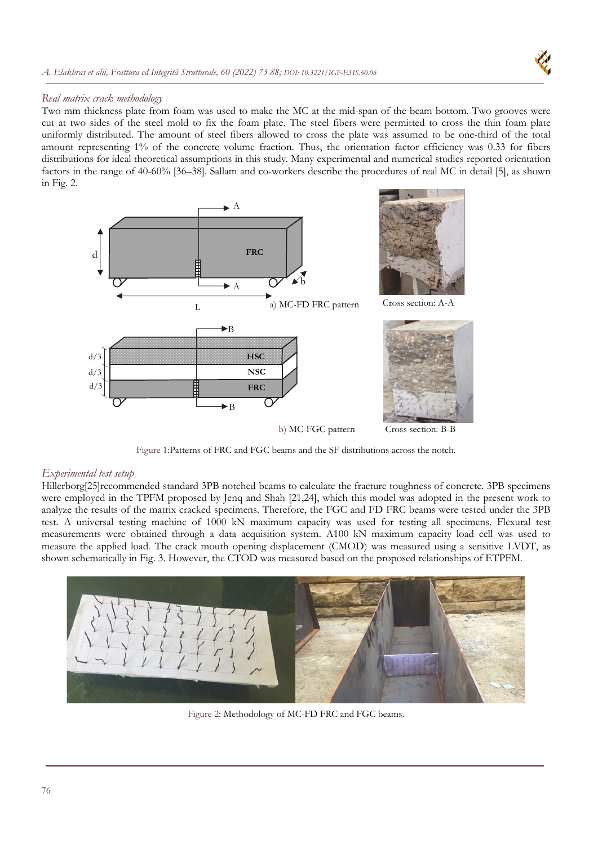

## *Real matrix crack methodology*

Two mm thickness plate from foam was used to make the MC at the mid-span of the beam bottom. Two grooves were cut at two sides of the steel mold to fix the foam plate. The steel fibers were permitted to cross the thin foam plate uniformly distributed. The amount of steel fibers allowed to cross the plate was assumed to be one-third of the total amount representing 1% of the concrete volume fraction. Thus, the orientation factor efficiency was 0.33 for fibers distributions for ideal theoretical assumptions in this study. Many experimental and numerical studies reported orientation factors in the range of 40-60% [36–38]. Sallam and co-workers describe the procedures of real MC in detail [5], as shown in Fig. 2.



Figure 1:Patterns of FRC and FGC beams and the SF distributions across the notch.

#### *Experimental test setup*

Hillerborg[25]recommended standard 3PB notched beams to calculate the fracture toughness of concrete. 3PB specimens were employed in the TPFM proposed by Jenq and Shah [21,24], which this model was adopted in the present work to analyze the results of the matrix cracked specimens. Therefore, the FGC and FD FRC beams were tested under the 3PB test. A universal testing machine of 1000 kN maximum capacity was used for testing all specimens. Flexural test measurements were obtained through a data acquisition system. A100 kN maximum capacity load cell was used to measure the applied load. The crack mouth opening displacement (CMOD) was measured using a sensitive LVDT, as shown schematically in Fig. 3. However, the CTOD was measured based on the proposed relationships of ETPFM.



Figure 2: Methodology of MC-FD FRC and FGC beams.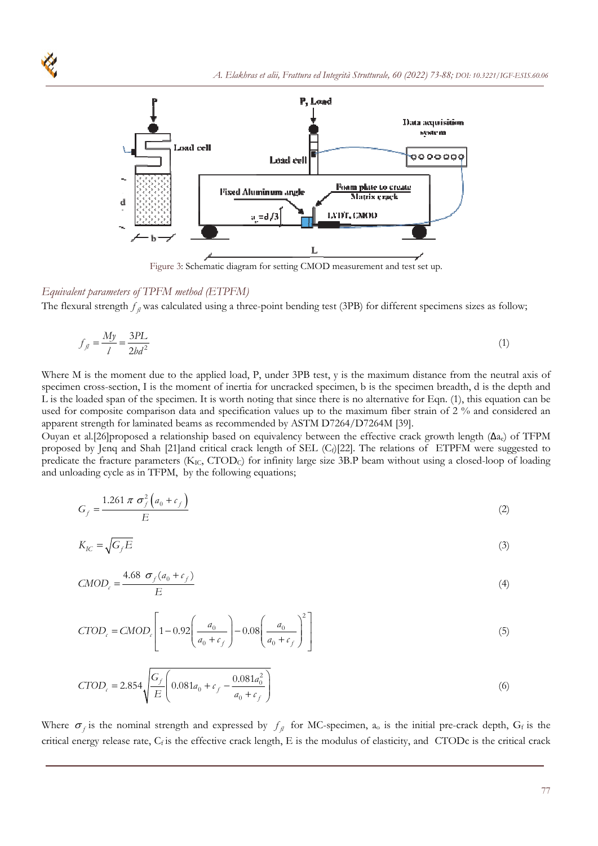

Figure 3: Schematic diagram for setting CMOD measurement and test set up.

## *Equivalent parameters of TPFM method (ETPFM)*

The flexural strength  $f_\text{fl}$  was calculated using a three-point bending test (3PB) for different specimens sizes as follow;

$$
f_{\beta} = \frac{My}{l} = \frac{3PL}{2bd^2} \tag{1}
$$

Where M is the moment due to the applied load, P, under 3PB test, y is the maximum distance from the neutral axis of specimen cross-section, I is the moment of inertia for uncracked specimen, b is the specimen breadth, d is the depth and L is the loaded span of the specimen. It is worth noting that since there is no alternative for Eqn. (1), this equation can be used for composite comparison data and specification values up to the maximum fiber strain of 2 % and considered an apparent strength for laminated beams as recommended by ASTM D7264/D7264M [39].

Ouyan et al.[26]proposed a relationship based on equivalency between the effective crack growth length ( $\Delta a_e$ ) of TFPM proposed by Jenq and Shah [21]and critical crack length of SEL (Cf)[22]. The relations of ETPFM were suggested to predicate the fracture parameters (K<sub>IC</sub>, CTOD<sub>C</sub>) for infinity large size 3B.P beam without using a closed-loop of loading and unloading cycle as in TFPM, by the following equations;

$$
G_f = \frac{1.261 \pi \sigma_f^2 \left( a_0 + c_f \right)}{E} \tag{2}
$$

$$
K_{IC} = \sqrt{G_f E} \tag{3}
$$

$$
CMODc = \frac{4.68 \sigma_f (a_0 + c_f)}{E}
$$
 (4)

$$
CTOD_c = CMOD_c \left[ 1 - 0.92 \left( \frac{a_0}{a_0 + c_f} \right) - 0.08 \left( \frac{a_0}{a_0 + c_f} \right)^2 \right]
$$
 (5)

$$
CTODc = 2.854 \sqrt{\frac{G_f}{E} \left( 0.081 a_0 + c_f - \frac{0.081 a_0^2}{a_0 + c_f} \right)}
$$
(6)

Where  $\sigma_f$  is the nominal strength and expressed by  $f_\text{fl}$  for MC-specimen, a<sub>o</sub> is the initial pre-crack depth, Gf is the critical energy release rate, C<sub>f</sub> is the effective crack length, E is the modulus of elasticity, and CTODc is the critical crack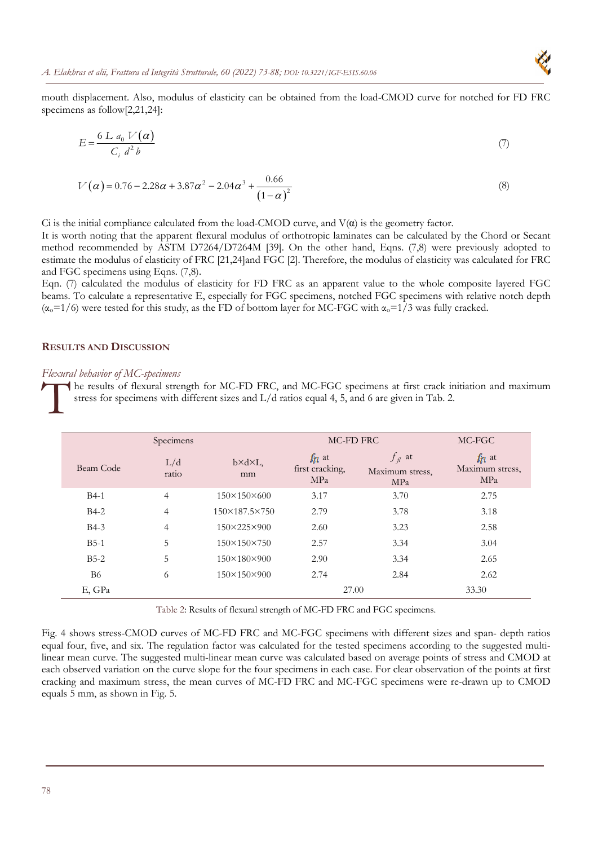

$$
E = \frac{6 L a_0 V(\alpha)}{C_i d^2 b} \tag{7}
$$

$$
V(\alpha) = 0.76 - 2.28\alpha + 3.87\alpha^2 - 2.04\alpha^3 + \frac{0.66}{(1 - \alpha)^2}
$$
\n(8)

Ci is the initial compliance calculated from the load-CMOD curve, and  $V(\alpha)$  is the geometry factor.

It is worth noting that the apparent flexural modulus of orthotropic laminates can be calculated by the Chord or Secant method recommended by ASTM D7264/D7264M [39]. On the other hand, Eqns. (7,8) were previously adopted to estimate the modulus of elasticity of FRC [21,24]and FGC [2]. Therefore, the modulus of elasticity was calculated for FRC and FGC specimens using Eqns. (7,8).

Eqn. (7) calculated the modulus of elasticity for FD FRC as an apparent value to the whole composite layered FGC beams. To calculate a representative E, especially for FGC specimens, notched FGC specimens with relative notch depth  $(\alpha_0=1/6)$  were tested for this study, as the FD of bottom layer for MC-FGC with  $\alpha_0=1/3$  was fully cracked.

## **RESULTS AND DISCUSSION**

#### *Flexural behavior of MC-specimens*

he results of flexural strength for MC-FD FRC, and MC-FGC specimens at first crack initiation and maximum stress for specimens with different sizes and L/d ratios equal 4, 5, and 6 are given in Tab. 2. The street

|           | Specimens      |                               | MC-FD FRC                             | MC-FGC                                       |                                       |
|-----------|----------------|-------------------------------|---------------------------------------|----------------------------------------------|---------------------------------------|
| Beam Code | L/d<br>ratio   | $b \times d \times L$ ,<br>mm | $f_{fl}$ at<br>first cracking,<br>MPa | $f_{\parallel}$ at<br>Maximum stress,<br>MPa | $f_{fl}$ at<br>Maximum stress,<br>MPa |
| $B4-1$    | $\overline{4}$ | $150\times150\times600$       | 3.17                                  | 3.70                                         | 2.75                                  |
| $B4-2$    | $\overline{4}$ | 150×187.5×750                 | 2.79                                  | 3.78                                         | 3.18                                  |
| $B4-3$    | $\overline{4}$ | 150×225×900                   | 2.60                                  | 3.23                                         | 2.58                                  |
| $B5-1$    | 5              | $150\times150\times750$       | 2.57                                  | 3.34                                         | 3.04                                  |
| $B5-2$    | 5              | 150×180×900                   | 2.90                                  | 3.34                                         | 2.65                                  |
| <b>B6</b> | 6              | 150×150×900                   | 2.74                                  | 2.84                                         | 2.62                                  |
| E, GPa    |                |                               | 27.00                                 |                                              | 33.30                                 |

Table 2: Results of flexural strength of MC-FD FRC and FGC specimens.

Fig. 4 shows stress-CMOD curves of MC-FD FRC and MC-FGC specimens with different sizes and span- depth ratios equal four, five, and six. The regulation factor was calculated for the tested specimens according to the suggested multilinear mean curve. The suggested multi-linear mean curve was calculated based on average points of stress and CMOD at each observed variation on the curve slope for the four specimens in each case. For clear observation of the points at first cracking and maximum stress, the mean curves of MC-FD FRC and MC-FGC specimens were re-drawn up to CMOD equals 5 mm, as shown in Fig. 5.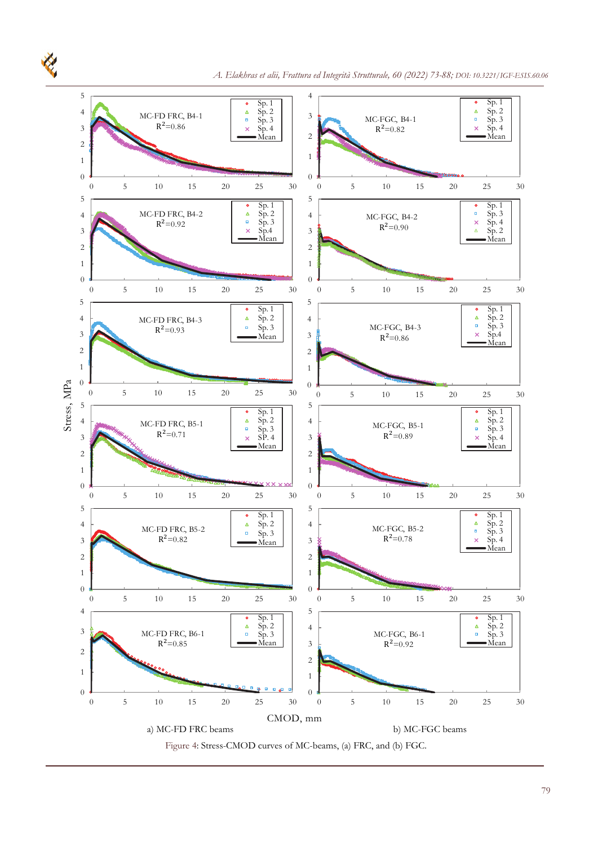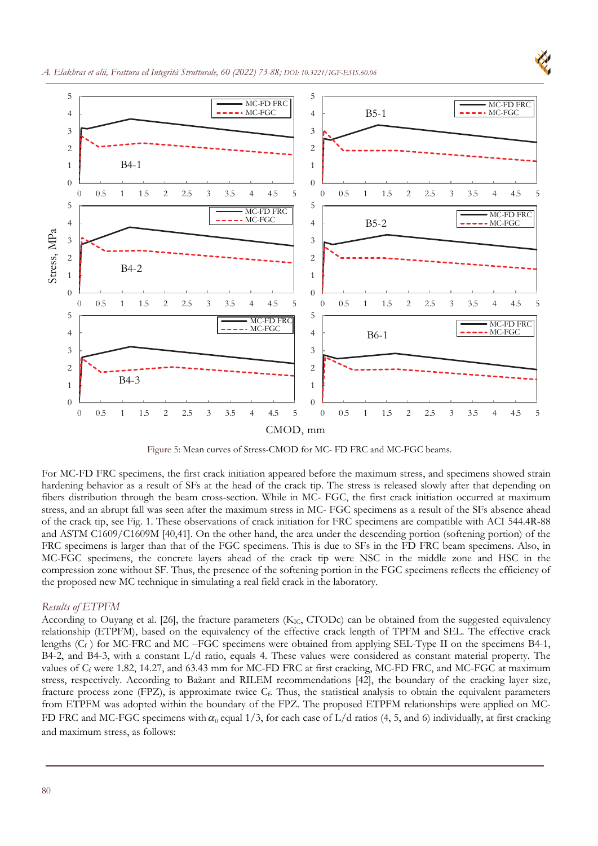



Figure 5: Mean curves of Stress-CMOD for MC- FD FRC and MC-FGC beams.

For MC-FD FRC specimens, the first crack initiation appeared before the maximum stress, and specimens showed strain hardening behavior as a result of SFs at the head of the crack tip. The stress is released slowly after that depending on fibers distribution through the beam cross-section. While in MC- FGC, the first crack initiation occurred at maximum stress, and an abrupt fall was seen after the maximum stress in MC- FGC specimens as a result of the SFs absence ahead of the crack tip, see Fig. 1. These observations of crack initiation for FRC specimens are compatible with ACI 544.4R-88 and ASTM C1609/C1609M [40,41]. On the other hand, the area under the descending portion (softening portion) of the FRC specimens is larger than that of the FGC specimens. This is due to SFs in the FD FRC beam specimens. Also, in MC-FGC specimens, the concrete layers ahead of the crack tip were NSC in the middle zone and HSC in the compression zone without SF. Thus, the presence of the softening portion in the FGC specimens reflects the efficiency of the proposed new MC technique in simulating a real field crack in the laboratory.

### *Results of ETPFM*

According to Ouyang et al. [26], the fracture parameters ( $K_{IC}$ , CTODc) can be obtained from the suggested equivalency relationship (ETPFM), based on the equivalency of the effective crack length of TPFM and SEL. The effective crack lengths  $(C_f)$  for MC-FRC and MC-FGC specimens were obtained from applying SEL-Type II on the specimens B4-1, B4-2, and B4-3, with a constant L/d ratio, equals 4. These values were considered as constant material property. The values of  $C_f$  were 1.82, 14.27, and 63.43 mm for MC-FD FRC at first cracking, MC-FD FRC, and MC-FGC at maximum stress, respectively. According to Bažant and RILEM recommendations [42], the boundary of the cracking layer size, fracture process zone (FPZ), is approximate twice  $C_f$ . Thus, the statistical analysis to obtain the equivalent parameters from ETPFM was adopted within the boundary of the FPZ. The proposed ETPFM relationships were applied on MC-FD FRC and MC-FGC specimens with  $\alpha_0$  equal 1/3, for each case of L/d ratios (4, 5, and 6) individually, at first cracking and maximum stress, as follows: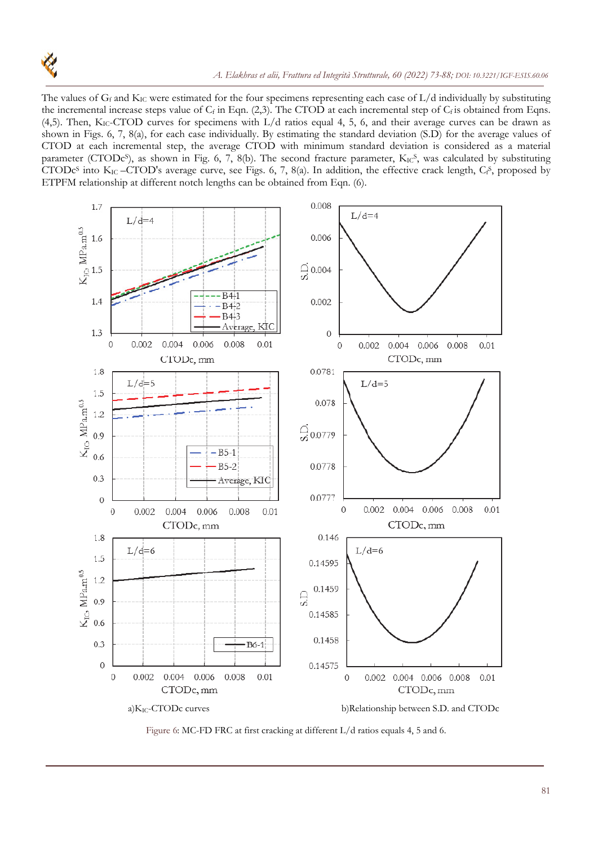

The values of  $G_f$  and  $K_{IC}$  were estimated for the four specimens representing each case of  $L/d$  individually by substituting the incremental increase steps value of  $C_f$  in Eqn. (2,3). The CTOD at each incremental step of  $C_f$  is obtained from Eqns. (4,5). Then,  $K_{IC}$ -CTOD curves for specimens with  $L/d$  ratios equal 4, 5, 6, and their average curves can be drawn as shown in Figs. 6, 7, 8(a), for each case individually. By estimating the standard deviation (S.D) for the average values of CTOD at each incremental step, the average CTOD with minimum standard deviation is considered as a material parameter (CTODc<sup>s</sup>), as shown in Fig. 6, 7, 8(b). The second fracture parameter, KIC<sup>S</sup>, was calculated by substituting CTODc<sup>s</sup> into K<sub>IC</sub> -CTOD's average curve, see Figs. 6, 7, 8(a). In addition, the effective crack length,  $C_f$ <sup>S</sup>, proposed by ETPFM relationship at different notch lengths can be obtained from Eqn. (6).



Figure 6: MC-FD FRC at first cracking at different L/d ratios equals 4, 5 and 6.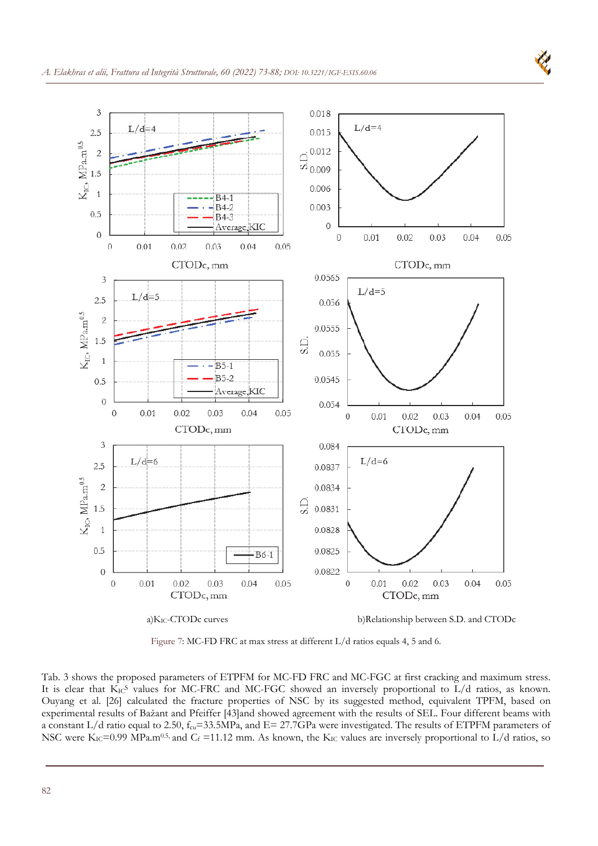

K

Figure 7: MC-FD FRC at max stress at different L/d ratios equals 4, 5 and 6.

Tab. 3 shows the proposed parameters of ETPFM for MC-FD FRC and MC-FGC at first cracking and maximum stress. It is clear that KICS values for MC-FRC and MC-FGC showed an inversely proportional to L/d ratios, as known. Ouyang et al. [26] calculated the fracture properties of NSC by its suggested method, equivalent TPFM, based on experimental results of Bažant and Pfeiffer [43]and showed agreement with the results of SEL. Four different beams with a constant L/d ratio equal to 2.50,  $f_{cu}$ =33.5MPa, and E= 27.7GPa were investigated. The results of ETPFM parameters of NSC were  $K_{IC}$ =0.99 MPa.m<sup>0.5,</sup> and  $C_f$  =11.12 mm. As known, the  $K_{IC}$  values are inversely proportional to L/d ratios, so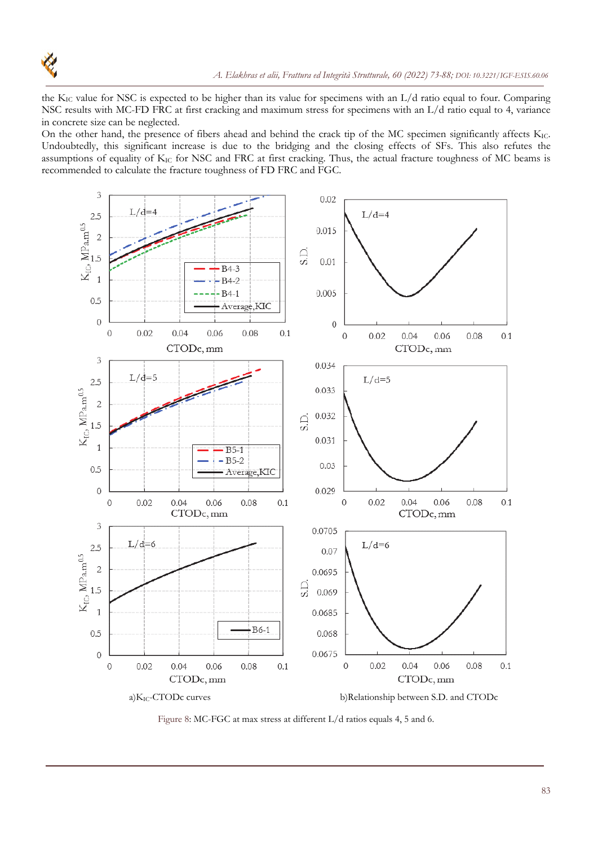

the K<sub>IC</sub> value for NSC is expected to be higher than its value for specimens with an  $L/d$  ratio equal to four. Comparing NSC results with MC-FD FRC at first cracking and maximum stress for specimens with an L/d ratio equal to 4, variance in concrete size can be neglected.

On the other hand, the presence of fibers ahead and behind the crack tip of the MC specimen significantly affects K<sub>IC</sub>. Undoubtedly, this significant increase is due to the bridging and the closing effects of SFs. This also refutes the assumptions of equality of KIC for NSC and FRC at first cracking. Thus, the actual fracture toughness of MC beams is recommended to calculate the fracture toughness of FD FRC and FGC.



Figure 8: MC-FGC at max stress at different L/d ratios equals 4, 5 and 6.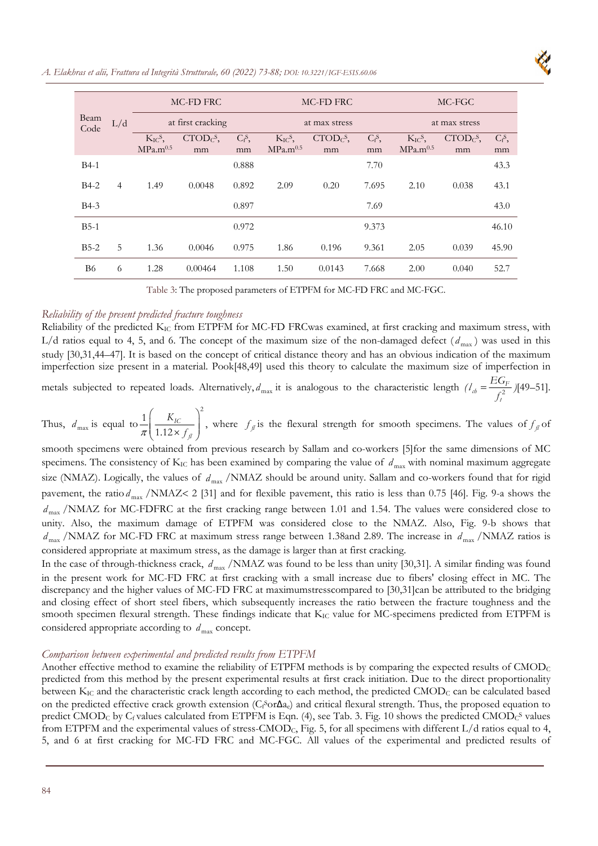

*A. Elakhras et alii, Frattura ed Integrità Strutturale, 60 (2022) 73-88; DOI: 10.3221/IGF-ESIS.60.06* 

| Beam<br>Code | L/d            |                         | MC-FD FRC                                 |           | MC-FD FRC               |                                |           | MC-FGC                  |            |           |
|--------------|----------------|-------------------------|-------------------------------------------|-----------|-------------------------|--------------------------------|-----------|-------------------------|------------|-----------|
|              |                | at first cracking       |                                           |           | at max stress           |                                |           | at max stress           |            |           |
|              |                | $K_{IC}$ <sup>S</sup> , | $\text{CTOD}_{\mathbb{C}}$ <sup>S</sup> , | $C_f^S$ , | $K_{IC}$ <sup>S</sup> , | $\text{CTOD}_{\mathbb{C}}^S$ , | $C_f^S$ , | $K_{IC}$ <sup>S</sup> , | $CTODCs$ , | $C_f^S$ , |
|              |                | MPa.m <sup>0.5</sup>    | mm                                        | mm        | MPa.m <sup>0.5</sup>    | mm                             | mm        | MPa.m <sup>0.5</sup>    | mm         | mm        |
| $B4-1$       |                |                         |                                           | 0.888     |                         |                                | 7.70      |                         |            | 43.3      |
| $B4-2$       | $\overline{4}$ | 1.49                    | 0.0048                                    | 0.892     | 2.09                    | 0.20                           | 7.695     | 2.10                    | 0.038      | 43.1      |
| $B4-3$       |                |                         |                                           | 0.897     |                         |                                | 7.69      |                         |            | 43.0      |
| $B5-1$       |                |                         |                                           | 0.972     |                         |                                | 9.373     |                         |            | 46.10     |
| $B5-2$       | 5              | 1.36                    | 0.0046                                    | 0.975     | 1.86                    | 0.196                          | 9.361     | 2.05                    | 0.039      | 45.90     |
| B6           | 6              | 1.28                    | 0.00464                                   | 1.108     | 1.50                    | 0.0143                         | 7.668     | 2.00                    | 0.040      | 52.7      |

Table 3: The proposed parameters of ETPFM for MC-FD FRC and MC-FGC.

## *Reliability of the present predicted fracture toughness*

Reliability of the predicted K<sub>IC</sub> from ETPFM for MC-FD FRCwas examined, at first cracking and maximum stress, with L/d ratios equal to 4, 5, and 6. The concept of the maximum size of the non-damaged defect  $(d_{\text{max}})$  was used in this study [30,31,44–47]. It is based on the concept of critical distance theory and has an obvious indication of the maximum imperfection size present in a material. Pook[48,49] used this theory to calculate the maximum size of imperfection in

metals subjected to repeated loads. Alternatively,  $d_{\text{max}}$  it is analogous to the characteristic length  $(l_{ab} = \frac{LQ_f}{c^2})$ *t*  $\mathcal{U}_{cb} = \frac{EG_F}{f_t^2}$  )[49–51].

Thus,  $d_{\text{max}}$  is equal to  $\frac{1}{\pi} \left( \frac{K_{IC}}{1.12 \times f_a} \right)$  $\left(1.12 \times f_{\text{f}}\right)$  $1\begin{pmatrix} & & \\ & K_{IC} & \end{pmatrix}^2$ 1.12 *IC fl*  $\left(\frac{K_{IC}}{2 \times f_g}\right)$ , where  $f_\text{A}$  is the flexural strength for smooth specimens. The values of  $f_\text{A}$  of

smooth specimens were obtained from previous research by Sallam and co-workers [5]for the same dimensions of MC specimens. The consistency of  $K_{IC}$  has been examined by comparing the value of  $d_{max}$  with nominal maximum aggregate size (NMAZ). Logically, the values of  $d_{\text{max}}$  /NMAZ should be around unity. Sallam and co-workers found that for rigid pavement, the ratio  $d_{\text{max}}$  /NMAZ< 2 [31] and for flexible pavement, this ratio is less than 0.75 [46]. Fig. 9-a shows the  $d_{\text{max}}$  /NMAZ for MC-FDFRC at the first cracking range between 1.01 and 1.54. The values were considered close to unity. Also, the maximum damage of ETPFM was considered close to the NMAZ. Also, Fig. 9-b shows that  $d_{\text{max}}$  /NMAZ for MC-FD FRC at maximum stress range between 1.38and 2.89. The increase in  $d_{\text{max}}$  /NMAZ ratios is considered appropriate at maximum stress, as the damage is larger than at first cracking.

In the case of through-thickness crack,  $d_{\text{max}}$  /NMAZ was found to be less than unity [30,31]. A similar finding was found in the present work for MC-FD FRC at first cracking with a small increase due to fibers' closing effect in MC. The discrepancy and the higher values of MC-FD FRC at maximumstresscompared to [30,31]can be attributed to the bridging and closing effect of short steel fibers, which subsequently increases the ratio between the fracture toughness and the smooth specimen flexural strength. These findings indicate that K<sub>IC</sub> value for MC-specimens predicted from ETPFM is considered appropriate according to  $d_{\text{max}}$  concept.

#### *Comparison between experimental and predicted results from ETPFM*

Another effective method to examine the reliability of ETPFM methods is by comparing the expected results of  $\text{CMOD}_\text{C}$ predicted from this method by the present experimental results at first crack initiation. Due to the direct proportionality between K<sub>IC</sub> and the characteristic crack length according to each method, the predicted CMOD<sub>C</sub> can be calculated based on the predicted effective crack growth extension (C<sub>f</sub>Sor∆ae) and critical flexural strength. Thus, the proposed equation to predict  $\text{CMOD}_C$  by  $C_f$  values calculated from ETPFM is Eqn. (4), see Tab. 3. Fig. 10 shows the predicted  $\text{CMOD}_C^S$  values from ETPFM and the experimental values of stress-CMODC, Fig. 5, for all specimens with different L/d ratios equal to 4, 5, and 6 at first cracking for MC-FD FRC and MC-FGC. All values of the experimental and predicted results of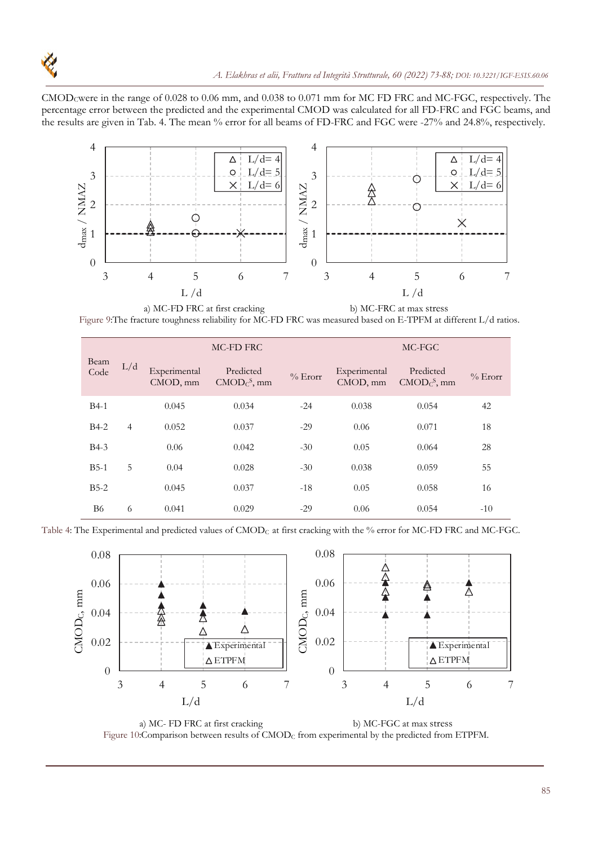

CMODCwere in the range of 0.028 to 0.06 mm, and 0.038 to 0.071 mm for MC FD FRC and MC-FGC, respectively. The percentage error between the predicted and the experimental CMOD was calculated for all FD-FRC and FGC beams, and the results are given in Tab. 4. The mean % error for all beams of FD-FRC and FGC were -27% and 24.8%, respectively.



a) MC-FD FRC at first cracking b) MC-FRC at max stress Figure 9:The fracture toughness reliability for MC-FD FRC was measured based on E-TPFM at different L/d ratios.

| Beam<br>Code |                |                          | MC-FD FRC                                      |           | MC-FGC                   |                            |            |  |
|--------------|----------------|--------------------------|------------------------------------------------|-----------|--------------------------|----------------------------|------------|--|
|              | L/d            | Experimental<br>CMOD, mm | Predicted<br>$\text{CMOD}_{\mathbb{C}}^S$ , mm | $%$ Erorr | Experimental<br>CMOD, mm | Predicted<br>$CMODCS$ , mm | $\%$ Erorr |  |
| $B4-1$       |                | 0.045                    | 0.034                                          | $-24$     | 0.038                    | 0.054                      | 42         |  |
| $B4-2$       | $\overline{4}$ | 0.052                    | 0.037                                          | $-29$     | 0.06                     | 0.071                      | 18         |  |
| $B4-3$       |                | 0.06                     | 0.042                                          | $-30$     | 0.05                     | 0.064                      | 28         |  |
| $B5-1$       | 5              | 0.04                     | 0.028                                          | $-30$     | 0.038                    | 0.059                      | 55         |  |
| $B5-2$       |                | 0.045                    | 0.037                                          | $-18$     | 0.05                     | 0.058                      | 16         |  |
| B6           | 6              | 0.041                    | 0.029                                          | $-29$     | 0.06                     | 0.054                      | $-10$      |  |

Table 4: The Experimental and predicted values of CMOD<sub>C</sub> at first cracking with the % error for MC-FD FRC and MC-FGC.



a) MC- FD FRC at first cracking b) MC-FGC at max stress Figure 10:Comparison between results of  $\text{CMOD}_C$  from experimental by the predicted from ETPFM.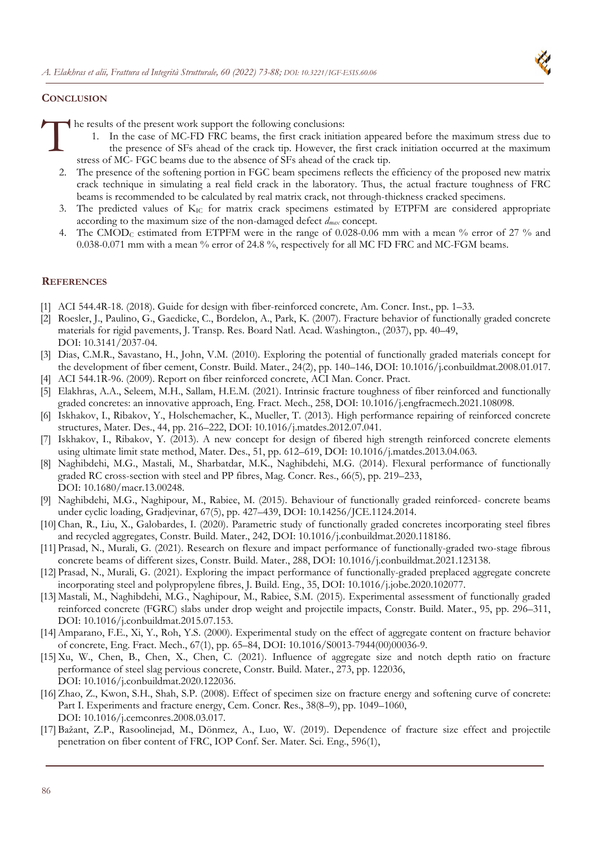

## **CONCLUSION**

he results of the present work support the following conclusions:

- 1. In the case of MC-FD FRC beams, the first crack initiation appeared before the maximum stress due to the presence of SFs ahead of the crack tip. However, the first crack initiation occurred at the maximum stress of MC- FGC beams due to the absence of SFs ahead of the crack tip.  $\int_{-\infty}^{\infty}$ 
	- 2. The presence of the softening portion in FGC beam specimens reflects the efficiency of the proposed new matrix crack technique in simulating a real field crack in the laboratory. Thus, the actual fracture toughness of FRC beams is recommended to be calculated by real matrix crack, not through-thickness cracked specimens.
	- 3. The predicted values of KIC for matrix crack specimens estimated by ETPFM are considered appropriate according to the maximum size of the non-damaged defect *dmax* concept.
	- 4. The CMOD<sub>C</sub> estimated from ETPFM were in the range of 0.028-0.06 mm with a mean % error of 27 % and 0.038-0.071 mm with a mean % error of 24.8 %, respectively for all MC FD FRC and MC-FGM beams.

## **REFERENCES**

- [1] ACI 544.4R-18. (2018). Guide for design with fiber-reinforced concrete, Am. Concr. Inst., pp. 1–33.
- [2] Roesler, J., Paulino, G., Gaedicke, C., Bordelon, A., Park, K. (2007). Fracture behavior of functionally graded concrete materials for rigid pavements, J. Transp. Res. Board Natl. Acad. Washington., (2037), pp. 40–49, DOI: 10.3141/2037-04.
- [3] Dias, C.M.R., Savastano, H., John, V.M. (2010). Exploring the potential of functionally graded materials concept for the development of fiber cement, Constr. Build. Mater., 24(2), pp. 140–146, DOI: 10.1016/j.conbuildmat.2008.01.017.
- [4] ACI 544.1R-96. (2009). Report on fiber reinforced concrete, ACI Man. Concr. Pract.
- [5] Elakhras, A.A., Seleem, M.H., Sallam, H.E.M. (2021). Intrinsic fracture toughness of fiber reinforced and functionally graded concretes: an innovative approach, Eng. Fract. Mech., 258, DOI: 10.1016/j.engfracmech.2021.108098.
- [6] Iskhakov, I., Ribakov, Y., Holschemacher, K., Mueller, T. (2013). High performance repairing of reinforced concrete structures, Mater. Des., 44, pp. 216–222, DOI: 10.1016/j.matdes.2012.07.041.
- [7] Iskhakov, I., Ribakov, Y. (2013). A new concept for design of fibered high strength reinforced concrete elements using ultimate limit state method, Mater. Des., 51, pp. 612–619, DOI: 10.1016/j.matdes.2013.04.063.
- [8] Naghibdehi, M.G., Mastali, M., Sharbatdar, M.K., Naghibdehi, M.G. (2014). Flexural performance of functionally graded RC cross-section with steel and PP fibres, Mag. Concr. Res., 66(5), pp. 219–233, DOI: 10.1680/macr.13.00248.
- [9] Naghibdehi, M.G., Naghipour, M., Rabiee, M. (2015). Behaviour of functionally graded reinforced- concrete beams under cyclic loading, Gradjevinar, 67(5), pp. 427–439, DOI: 10.14256/JCE.1124.2014.
- [10]Chan, R., Liu, X., Galobardes, I. (2020). Parametric study of functionally graded concretes incorporating steel fibres and recycled aggregates, Constr. Build. Mater., 242, DOI: 10.1016/j.conbuildmat.2020.118186.
- [11] Prasad, N., Murali, G. (2021). Research on flexure and impact performance of functionally-graded two-stage fibrous concrete beams of different sizes, Constr. Build. Mater., 288, DOI: 10.1016/j.conbuildmat.2021.123138.
- [12] Prasad, N., Murali, G. (2021). Exploring the impact performance of functionally-graded preplaced aggregate concrete incorporating steel and polypropylene fibres, J. Build. Eng., 35, DOI: 10.1016/j.jobe.2020.102077.
- [13] Mastali, M., Naghibdehi, M.G., Naghipour, M., Rabiee, S.M. (2015). Experimental assessment of functionally graded reinforced concrete (FGRC) slabs under drop weight and projectile impacts, Constr. Build. Mater., 95, pp. 296–311, DOI: 10.1016/j.conbuildmat.2015.07.153.
- [14]Amparano, F.E., Xi, Y., Roh, Y.S. (2000). Experimental study on the effect of aggregate content on fracture behavior of concrete, Eng. Fract. Mech., 67(1), pp. 65–84, DOI: 10.1016/S0013-7944(00)00036-9.
- [15]Xu, W., Chen, B., Chen, X., Chen, C. (2021). Influence of aggregate size and notch depth ratio on fracture performance of steel slag pervious concrete, Constr. Build. Mater., 273, pp. 122036, DOI: 10.1016/j.conbuildmat.2020.122036.
- [16]Zhao, Z., Kwon, S.H., Shah, S.P. (2008). Effect of specimen size on fracture energy and softening curve of concrete: Part I. Experiments and fracture energy, Cem. Concr. Res., 38(8–9), pp. 1049–1060, DOI: 10.1016/j.cemconres.2008.03.017.
- [17] Bažant, Z.P., Rasoolinejad, M., Dönmez, A., Luo, W. (2019). Dependence of fracture size effect and projectile penetration on fiber content of FRC, IOP Conf. Ser. Mater. Sci. Eng., 596(1),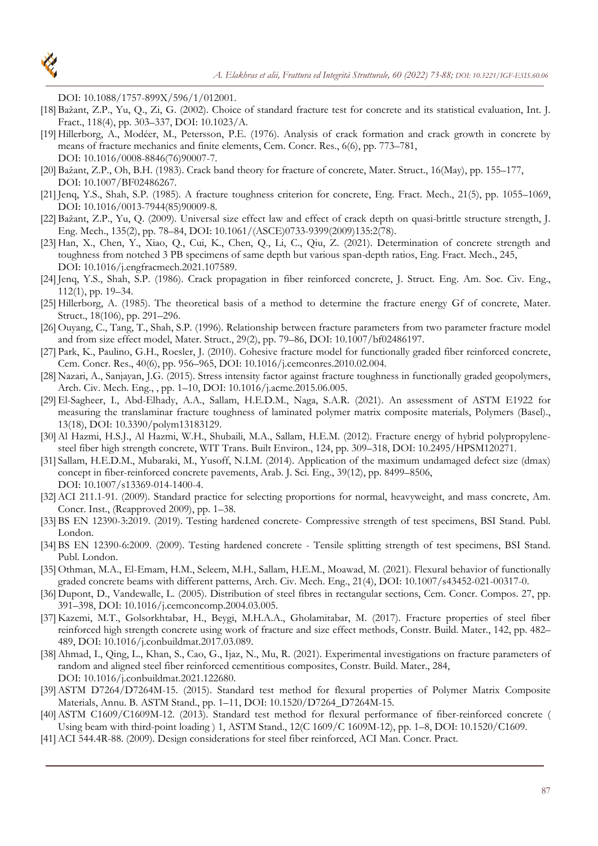DOI: 10.1088/1757-899X/596/1/012001.

- [18] Bažant, Z.P., Yu, Q., Zi, G. (2002). Choice of standard fracture test for concrete and its statistical evaluation, Int. J. Fract., 118(4), pp. 303–337, DOI: 10.1023/A.
- [19] Hillerborg, A., Modéer, M., Petersson, P.E. (1976). Analysis of crack formation and crack growth in concrete by means of fracture mechanics and finite elements, Cem. Concr. Res., 6(6), pp. 773–781, DOI: 10.1016/0008-8846(76)90007-7.
- [20] Bažant, Z.P., Oh, B.H. (1983). Crack band theory for fracture of concrete, Mater. Struct., 16(May), pp. 155–177, DOI: 10.1007/BF02486267.
- [21]Jenq, Y.S., Shah, S.P. (1985). A fracture toughness criterion for concrete, Eng. Fract. Mech., 21(5), pp. 1055–1069, DOI: 10.1016/0013-7944(85)90009-8.
- [22] Bažant, Z.P., Yu, Q. (2009). Universal size effect law and effect of crack depth on quasi-brittle structure strength, J. Eng. Mech., 135(2), pp. 78–84, DOI: 10.1061/(ASCE)0733-9399(2009)135:2(78).
- [23] Han, X., Chen, Y., Xiao, Q., Cui, K., Chen, Q., Li, C., Qiu, Z. (2021). Determination of concrete strength and toughness from notched 3 PB specimens of same depth but various span-depth ratios, Eng. Fract. Mech., 245, DOI: 10.1016/j.engfracmech.2021.107589.
- [24] Jenq, Y.S., Shah, S.P. (1986). Crack propagation in fiber reinforced concrete, J. Struct. Eng. Am. Soc. Civ. Eng., 112(1), pp. 19–34.
- [25] Hillerborg, A. (1985). The theoretical basis of a method to determine the fracture energy Gf of concrete, Mater. Struct., 18(106), pp. 291–296.
- [26] Ouyang, C., Tang, T., Shah, S.P. (1996). Relationship between fracture parameters from two parameter fracture model and from size effect model, Mater. Struct., 29(2), pp. 79–86, DOI: 10.1007/bf02486197.
- [27] Park, K., Paulino, G.H., Roesler, J. (2010). Cohesive fracture model for functionally graded fiber reinforced concrete, Cem. Concr. Res., 40(6), pp. 956–965, DOI: 10.1016/j.cemconres.2010.02.004.
- [28] Nazari, A., Sanjayan, J.G. (2015). Stress intensity factor against fracture toughness in functionally graded geopolymers, Arch. Civ. Mech. Eng., , pp. 1–10, DOI: 10.1016/j.acme.2015.06.005.
- [29]El-Sagheer, I., Abd-Elhady, A.A., Sallam, H.E.D.M., Naga, S.A.R. (2021). An assessment of ASTM E1922 for measuring the translaminar fracture toughness of laminated polymer matrix composite materials, Polymers (Basel)., 13(18), DOI: 10.3390/polym13183129.
- [30] Al Hazmi, H.S.J., Al Hazmi, W.H., Shubaili, M.A., Sallam, H.E.M. (2012). Fracture energy of hybrid polypropylenesteel fiber high strength concrete, WIT Trans. Built Environ., 124, pp. 309–318, DOI: 10.2495/HPSM120271.
- [31] Sallam, H.E.D.M., Mubaraki, M., Yusoff, N.I.M. (2014). Application of the maximum undamaged defect size (dmax) concept in fiber-reinforced concrete pavements, Arab. J. Sci. Eng., 39(12), pp. 8499–8506, DOI: 10.1007/s13369-014-1400-4.
- [32] ACI 211.1-91. (2009). Standard practice for selecting proportions for normal, heavyweight, and mass concrete, Am. Concr. Inst., (Reapproved 2009), pp. 1–38.
- [33] BS EN 12390-3:2019. (2019). Testing hardened concrete- Compressive strength of test specimens, BSI Stand. Publ. London.
- [34] BS EN 12390-6:2009. (2009). Testing hardened concrete Tensile splitting strength of test specimens, BSI Stand. Publ. London.
- [35] Othman, M.A., El-Emam, H.M., Seleem, M.H., Sallam, H.E.M., Moawad, M. (2021). Flexural behavior of functionally graded concrete beams with different patterns, Arch. Civ. Mech. Eng., 21(4), DOI: 10.1007/s43452-021-00317-0.
- [36] Dupont, D., Vandewalle, L. (2005). Distribution of steel fibres in rectangular sections, Cem. Concr. Compos. 27, pp. 391–398, DOI: 10.1016/j.cemconcomp.2004.03.005.
- [37] Kazemi, M.T., Golsorkhtabar, H., Beygi, M.H.A.A., Gholamitabar, M. (2017). Fracture properties of steel fiber reinforced high strength concrete using work of fracture and size effect methods, Constr. Build. Mater., 142, pp. 482– 489, DOI: 10.1016/j.conbuildmat.2017.03.089.
- [38]Ahmad, I., Qing, L., Khan, S., Cao, G., Ijaz, N., Mu, R. (2021). Experimental investigations on fracture parameters of random and aligned steel fiber reinforced cementitious composites, Constr. Build. Mater., 284, DOI: 10.1016/j.conbuildmat.2021.122680.
- [39]ASTM D7264/D7264M-15. (2015). Standard test method for flexural properties of Polymer Matrix Composite Materials, Annu. B. ASTM Stand., pp. 1–11, DOI: 10.1520/D7264\_D7264M-15.
- [40]ASTM C1609/C1609M-12. (2013). Standard test method for flexural performance of fiber-reinforced concrete ( Using beam with third-point loading ) 1, ASTM Stand., 12(C 1609/C 1609M-12), pp. 1–8, DOI: 10.1520/C1609.
- [41]ACI 544.4R-88. (2009). Design considerations for steel fiber reinforced, ACI Man. Concr. Pract.